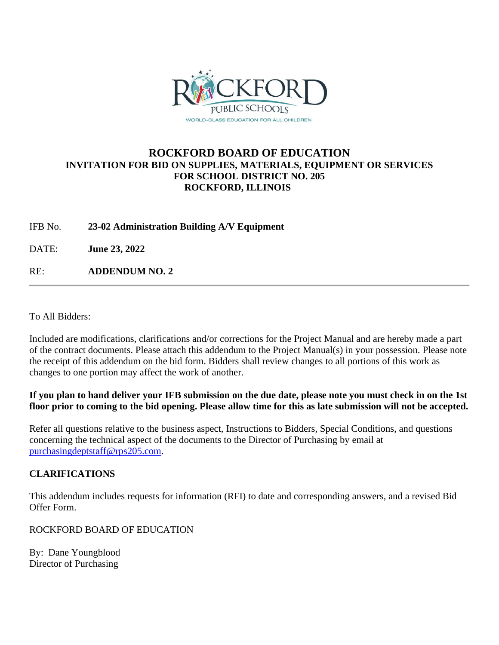

# **ROCKFORD BOARD OF EDUCATION INVITATION FOR BID ON SUPPLIES, MATERIALS, EQUIPMENT OR SERVICES FOR SCHOOL DISTRICT NO. 205 ROCKFORD, ILLINOIS**

IFB No. **23-02 Administration Building A/V Equipment**

DATE: **June 23, 2022**

RE: **ADDENDUM NO. 2**

To All Bidders:

Included are modifications, clarifications and/or corrections for the Project Manual and are hereby made a part of the contract documents. Please attach this addendum to the Project Manual(s) in your possession. Please note the receipt of this addendum on the bid form. Bidders shall review changes to all portions of this work as changes to one portion may affect the work of another.

**If you plan to hand deliver your IFB submission on the due date, please note you must check in on the 1st floor prior to coming to the bid opening. Please allow time for this as late submission will not be accepted.**

Refer all questions relative to the business aspect, Instructions to Bidders, Special Conditions, and questions concerning the technical aspect of the documents to the Director of Purchasing by email at [purchasingdeptstaff@rps205.com.](mailto:purchasingdeptstaff@rps205.com)

# **CLARIFICATIONS**

This addendum includes requests for information (RFI) to date and corresponding answers, and a revised Bid Offer Form.

ROCKFORD BOARD OF EDUCATION

By: Dane Youngblood Director of Purchasing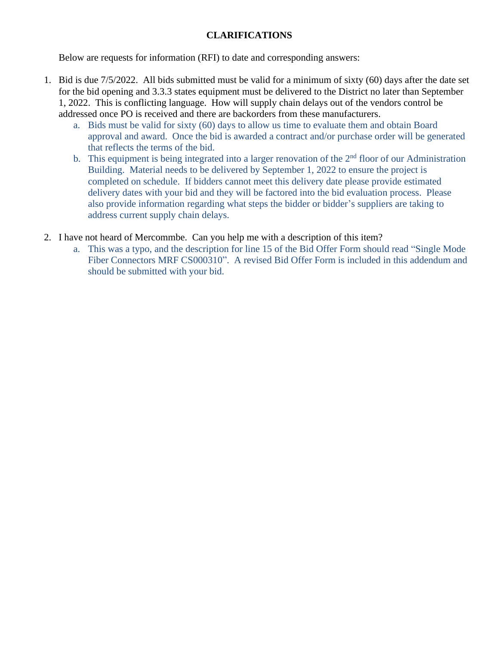# **CLARIFICATIONS**

Below are requests for information (RFI) to date and corresponding answers:

- 1. Bid is due 7/5/2022. All bids submitted must be valid for a minimum of sixty (60) days after the date set for the bid opening and 3.3.3 states equipment must be delivered to the District no later than September 1, 2022. This is conflicting language. How will supply chain delays out of the vendors control be addressed once PO is received and there are backorders from these manufacturers.
	- a. Bids must be valid for sixty (60) days to allow us time to evaluate them and obtain Board approval and award. Once the bid is awarded a contract and/or purchase order will be generated that reflects the terms of the bid.
	- b. This equipment is being integrated into a larger renovation of the  $2<sup>nd</sup>$  floor of our Administration Building. Material needs to be delivered by September 1, 2022 to ensure the project is completed on schedule. If bidders cannot meet this delivery date please provide estimated delivery dates with your bid and they will be factored into the bid evaluation process. Please also provide information regarding what steps the bidder or bidder's suppliers are taking to address current supply chain delays.
- 2. I have not heard of Mercommbe. Can you help me with a description of this item?
	- a. This was a typo, and the description for line 15 of the Bid Offer Form should read "Single Mode Fiber Connectors MRF CS000310". A revised Bid Offer Form is included in this addendum and should be submitted with your bid.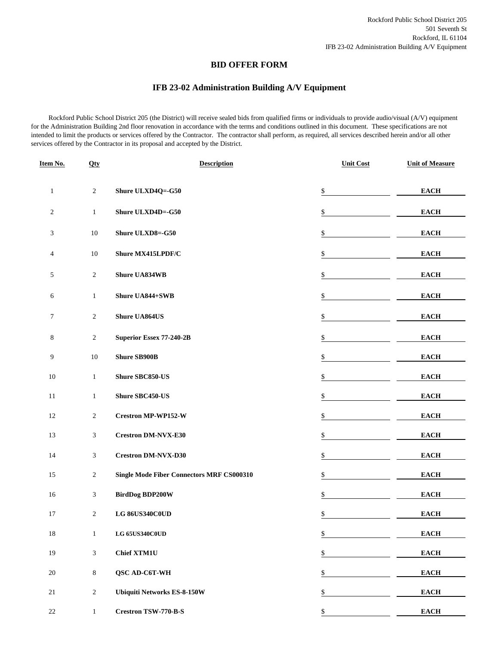#### **BID OFFER FORM**

## **IFB 23-02 Administration Building A/V Equipment**

 Rockford Public School District 205 (the District) will receive sealed bids from qualified firms or individuals to provide audio/visual (A/V) equipment for the Administration Building 2nd floor renovation in accordance with the terms and conditions outlined in this document. These specifications are not intended to limit the products or services offered by the Contractor. The contractor shall perform, as required, all services described herein and/or all other services offered by the Contractor in its proposal and accepted by the District.

| Item No.       | Qty            | <b>Description</b>                               | <b>Unit Cost</b> | <b>Unit of Measure</b> |
|----------------|----------------|--------------------------------------------------|------------------|------------------------|
| $\mathbf{1}$   | $\sqrt{2}$     | Shure ULXD4Q=-G50                                | $\mathbb{S}$     | <b>EACH</b>            |
| $\overline{c}$ | $\mathbf{1}$   | Shure ULXD4D=-G50                                | \$               | <b>EACH</b>            |
| 3              | 10             | Shure ULXD8=-G50                                 | \$               | <b>EACH</b>            |
| $\overline{4}$ | $10\,$         | Shure MX415LPDF/C                                | \$               | <b>EACH</b>            |
| 5              | $\sqrt{2}$     | <b>Shure UA834WB</b>                             | \$               | <b>EACH</b>            |
| 6              | $\mathbf{1}$   | Shure UA844+SWB                                  | \$               | <b>EACH</b>            |
| $\tau$         | $\sqrt{2}$     | <b>Shure UA864US</b>                             | \$               | <b>EACH</b>            |
| $\,8\,$        | $\overline{c}$ | Superior Essex 77-240-2B                         | \$               | <b>EACH</b>            |
| 9              | $10\,$         | <b>Shure SB900B</b>                              | \$               | <b>EACH</b>            |
| $10\,$         | $\mathbf{1}$   | Shure SBC850-US                                  | \$               | <b>EACH</b>            |
| 11             | $\mathbf{1}$   | <b>Shure SBC450-US</b>                           | \$               | <b>EACH</b>            |
| 12             | $\overline{2}$ | <b>Crestron MP-WP152-W</b>                       | \$               | <b>EACH</b>            |
| 13             | 3              | <b>Crestron DM-NVX-E30</b>                       | \$               | <b>EACH</b>            |
| 14             | 3              | <b>Crestron DM-NVX-D30</b>                       | \$               | <b>EACH</b>            |
| 15             | $\overline{c}$ | <b>Single Mode Fiber Connectors MRF CS000310</b> | \$               | <b>EACH</b>            |
| 16             | 3              | <b>BirdDog BDP200W</b>                           | \$               | <b>EACH</b>            |
| 17             | $\overline{c}$ | LG 86US340C0UD                                   | \$               | <b>EACH</b>            |
| $18\,$         | $\mathbf{1}$   | LG 65US340C0UD                                   | \$               | <b>EACH</b>            |
| $19\,$         | $\mathfrak{Z}$ | <b>Chief XTM1U</b>                               | \$               | <b>EACH</b>            |
| $20\,$         | $\,8\,$        | QSC AD-C6T-WH                                    | \$               | <b>EACH</b>            |
| $21\,$         | $\sqrt{2}$     | <b>Ubiquiti Networks ES-8-150W</b>               | \$               | <b>EACH</b>            |
| $22\,$         | $\mathbf{1}$   | <b>Crestron TSW-770-B-S</b>                      | \$               | <b>EACH</b>            |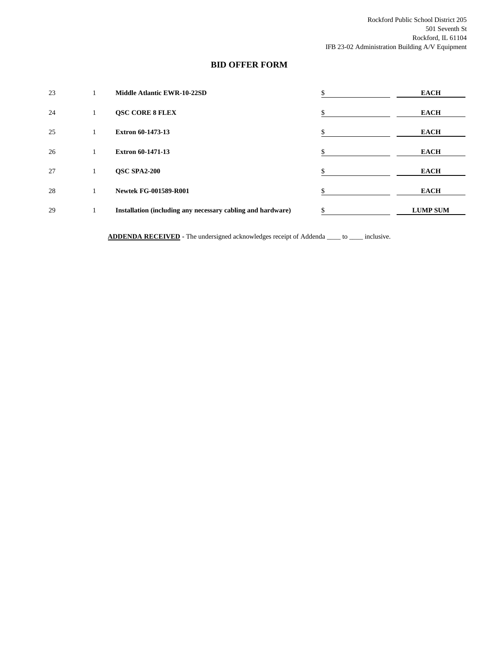## **BID OFFER FORM**

| 23 |         | Middle Atlantic EWR-10-22SD                                 | ъ  | <b>EACH</b>     |
|----|---------|-------------------------------------------------------------|----|-----------------|
| 24 | л.      | <b>QSC CORE 8 FLEX</b>                                      | J. | <b>EACH</b>     |
| 25 |         | <b>Extron 60-1473-13</b>                                    |    | <b>EACH</b>     |
| 26 |         | <b>Extron 60-1471-13</b>                                    | \$ | <b>EACH</b>     |
| 27 | $\perp$ | <b>OSC SPA2-200</b>                                         | \$ | <b>EACH</b>     |
| 28 |         | <b>Newtek FG-001589-R001</b>                                |    | <b>EACH</b>     |
| 29 |         | Installation (including any necessary cabling and hardware) |    | <b>LUMP SUM</b> |

**ADDENDA RECEIVED -** The undersigned acknowledges receipt of Addenda \_\_\_\_ to \_\_\_\_ inclusive.